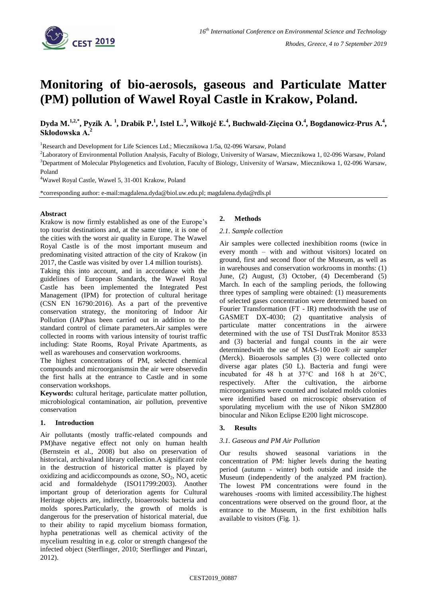

# **Monitoring of bio-aerosols, gaseous and Particulate Matter (PM) pollution of Wawel Royal Castle in Krakow, Poland.**

**Dyda M. 1,2,\* , Pyzik A. <sup>1</sup> , Drabik P. 1 , Istel L. 3 , Wiłkojć E.<sup>4</sup> , Buchwald-Zięcina O.<sup>4</sup> , Bogdanowicz-Prus A.<sup>4</sup> , Skłodowska A. 2**

<sup>1</sup>Research and Development for Life Sciences Ltd.; Miecznikowa 1/5a, 02-096 Warsaw, Poland

<sup>2</sup>Laboratory of Environmental Pollution Analysis, Faculty of Biology, University of Warsaw, Miecznikowa 1, 02-096 Warsaw, Poland <sup>3</sup>Department of Molecular Phylogenetics and Evolution, Faculty of Biology, University of Warsaw, Miecznikowa 1, 02-096 Warsaw, Poland

<sup>4</sup>Wawel Royal Castle, Wawel 5, 31-001 Krakow, Poland

\*corresponding author: e-mail[:magdalena.dyda@biol.uw.edu.pl;](mailto:magdalena.dyda@biol.uw.edu.pl) magdalena.dyda@rdls.pl

## **Abstract**

Krakow is now firmly established as one of the Europe's top tourist destinations and, at the same time, it is one of the cities with the worst air quality in Europe. The Wawel Royal Castle is of the most important museum and predominating visited attraction of the city of Krakow (in 2017, the Castle was visited by over 1.4 million tourists).

Taking this into account, and in accordance with the guidelines of European Standards, the Wawel Royal Castle has been implemented the Integrated Pest Management (IPM) for protection of cultural heritage (CSN EN 16790:2016). As a part of the preventive conservation strategy, the monitoring of Indoor Air Pollution (IAP)has been carried out in addition to the standard control of climate parameters.Air samples were collected in rooms with various intensity of tourist traffic including: State Rooms, Royal Private Apartments, as well as warehouses and conservation workrooms.

The highest concentrations of PM, selected chemical compounds and microorganismsin the air were observedin the first halls at the entrance to Castle and in some conservation workshops.

**Keywords:** cultural heritage, particulate matter pollution, microbiological contamination, air pollution, preventive conservation

## **1. Introduction**

Air pollutants (mostly traffic-related compounds and PM)have negative effect not only on human health (Bernstein et al., 2008) but also on preservation of historical, archivaland library collection.A significant role in the destruction of historical matter is played by oxidizing and acidiccompounds as ozone,  $SO_2$ ,  $NO_x$  acetic acid and formaldehyde (ISO11799:2003). Another important group of deterioration agents for Cultural Heritage objects are, indirectly, bioaerosols: bacteria and molds spores.Particularly, the growth of molds is dangerous for the preservation of historical material, due to their ability to rapid mycelium biomass formation, hypha penetrationas well as chemical activity of the mycelium resulting in e.g. color or strength changesof the infected object (Sterflinger, 2010; Sterflinger and Pinzari, 2012).

#### **2. Methods**

#### *2.1. Sample collection*

Air samples were collected inexhibition rooms (twice in every month – with and without visitors) located on ground, first and second floor of the Museum, as well as in warehouses and conservation workrooms in months: (1) June, (2) August, (3) October, (4) Decemberand (5) March. In each of the sampling periods, the following three types of sampling were obtained: (1) measurements of selected gases concentration were determined based on Fourier Transformation (FT - IR) methodswith the use of GASMET DX-4030; (2) quantitative analysis of particulate matter concentrations in the airwere determined with the use of TSI DustTrak Monitor 8533 and (3) bacterial and fungal counts in the air were determinedwith the use of MAS-100 Eco® air sampler (Merck). Bioaerosols samples (3) were collected onto diverse agar plates (50 L). Bacteria and fungi were incubated for 48 h at 37°C and 168 h at 26°C, respectively. After the cultivation, the airborne microorganisms were counted and isolated molds colonies were identified based on microscopic observation of sporulating mycelium with the use of Nikon SMZ800 binocular and Nikon Eclipse E200 light microscope.

# **3. Results**

#### *3.1. Gaseous and PM Air Pollution*

Our results showed seasonal variations in the concentration of PM: higher levels during the heating period (autumn - winter) both outside and inside the Museum (independently of the analyzed PM fraction). The lowest PM concentrations were found in the warehouses -rooms with limited accessibility.The highest concentrations were observed on the ground floor, at the entrance to the Museum, in the first exhibition halls available to visitors (Fig. 1).